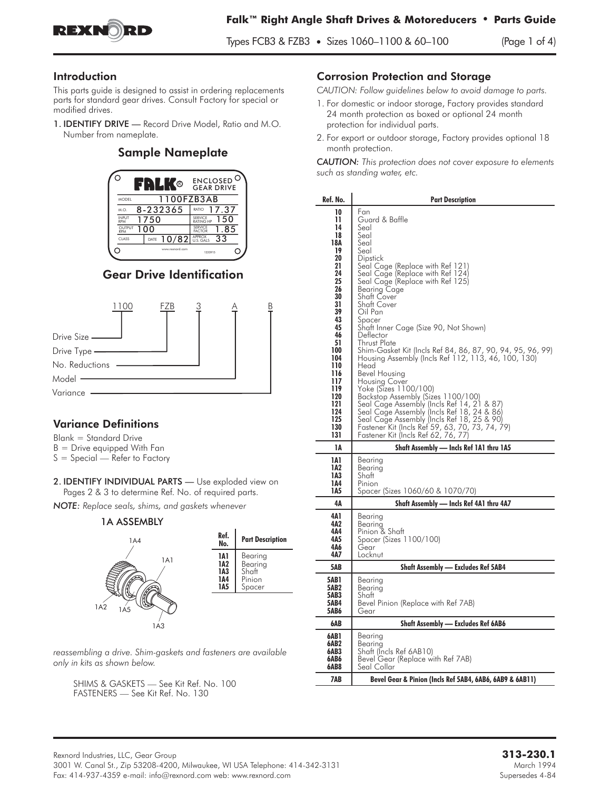

## Introduction

This parts guide is designed to assist in ordering replacements parts for standard gear drives. Consult Factory for special or modified drives.

1. IDENTIFY DRIVE — Record Drive Model, Ratio and M.O. Number from nameplate.

## Sample Nameplate



## Gear Drive Identification



## **Variance Definitions**

Blank = Standard Drive

- $B =$  Drive equipped With Fan
- $S = S$  pecial Refer to Factory
- 2. **IDENTIFY INDIVIDUAL PARTS** Use exploded view on Pages 2 & 3 to determine Ref. No. of required parts.

*NOTE: Replace seals, shims, and gaskets whenever*

#### 1A ASSEMBLY



| Ref.<br>No.                     | <b>Part Description</b>                         |  |  |  |  |  |
|---------------------------------|-------------------------------------------------|--|--|--|--|--|
| 1A1<br>1A2<br>1A3<br>144<br>1A5 | Bearing<br>Bearing<br>Shaft<br>Pinion<br>Spacer |  |  |  |  |  |
|                                 |                                                 |  |  |  |  |  |

*reassembling a drive. Shim-gaskets and fasteners are available only in kits as shown below.*

SHIMS & GASKETS — See Kit Ref. No. 100 FASTENERS — See Kit Ref. No. 130

## Corrosion Protection and Storage

*CAUTION: Follow guidelines below to avoid damage to parts.*

- 1. For domestic or indoor storage, Factory provides standard 24 month protection as boxed or optional 24 month protection for individual parts.
- 2. For export or outdoor storage, Factory provides optional 18 month protection.

*CAUTION: This protection does not cover exposure to elements such as standing water, etc.*

| Ref. No.                                                                                                                                                                                      | <b>Part Description</b>                                                                                                                                                                                                                                                                                                                                                                                                                                                                                                                                                                                                                                                                                                                                                                  |  |  |  |  |
|-----------------------------------------------------------------------------------------------------------------------------------------------------------------------------------------------|------------------------------------------------------------------------------------------------------------------------------------------------------------------------------------------------------------------------------------------------------------------------------------------------------------------------------------------------------------------------------------------------------------------------------------------------------------------------------------------------------------------------------------------------------------------------------------------------------------------------------------------------------------------------------------------------------------------------------------------------------------------------------------------|--|--|--|--|
| 10<br>11<br>14<br>18<br>18A<br>19<br>20<br>21<br>24<br>25<br>26<br>30<br>31<br>39<br>43<br>45<br>46<br>51<br>100<br>104<br>110<br>116<br>117<br>119<br>120<br>121<br>124<br>125<br>130<br>131 | Fan<br>Guard & Baffle<br>Seal<br>Šeal<br>Seal<br>Seal<br>Dipstick<br>Seal Cage (Replace with Ref 121)<br>Seal Cage (Replace with Ref 124)<br>Seal Cage (Replace with Ref 125)<br>Bearing Cage<br>Shatt Cover<br>Shaft Cover<br>Oil Pan<br>Spacer<br>Shaft Inner Cage (Size 90, Not Shown)<br>Detlector<br>Thrust Plate<br>Shim-Gasket Kit (Incls Ref 84, 86, 87, 90, 94, 95, 96, 99)<br>Housing Assembly (Incls Ref 112, 113, 46, 100, 130)<br>Head<br>Bevel Housing<br>Housing Cover<br>Yoke (Sizes 1100/100)<br>Backstop Assembly (Sizes 1100/100)<br>Seal Cage Assembly (Incls Ref 14, 21 & 87)<br>Seal Cage Assembly (Incls Ref 18, 24 & 86)<br>Seal Cage Assembly (Incls Ref 18, 25 & 90)<br>Fastener Kit (Incls Ref 59, 63, 70, 73, 74, 79)<br>Fastener Kit (Incls Ref 62, 76, 77) |  |  |  |  |
| 1A                                                                                                                                                                                            | Shaft Assembly — Incls Ref 1A1 thru 1A5                                                                                                                                                                                                                                                                                                                                                                                                                                                                                                                                                                                                                                                                                                                                                  |  |  |  |  |
| 1A1                                                                                                                                                                                           | Bearing<br>Bearing                                                                                                                                                                                                                                                                                                                                                                                                                                                                                                                                                                                                                                                                                                                                                                       |  |  |  |  |
| 1A2<br>1A3<br>1A4<br>1A5                                                                                                                                                                      | Shatt<br>Pinion                                                                                                                                                                                                                                                                                                                                                                                                                                                                                                                                                                                                                                                                                                                                                                          |  |  |  |  |
| 4Α                                                                                                                                                                                            | Spacer (Sizes 1060/60 & 1070/70)<br>Shaft Assembly — Incls Ref 4A1 thru 4A7                                                                                                                                                                                                                                                                                                                                                                                                                                                                                                                                                                                                                                                                                                              |  |  |  |  |
| 4A 1<br>4A2<br>4Α4<br>4A5<br>4A6<br>4A7                                                                                                                                                       | Bearing<br>Bearing<br>Pinion & Shaft<br>Spacer (Sizes 1100/100)<br>Gear<br>Locknut                                                                                                                                                                                                                                                                                                                                                                                                                                                                                                                                                                                                                                                                                                       |  |  |  |  |
| 5AB                                                                                                                                                                                           | Shaft Assembly — Excludes Ref 5AB4                                                                                                                                                                                                                                                                                                                                                                                                                                                                                                                                                                                                                                                                                                                                                       |  |  |  |  |
| 5AB1<br>5AB2<br>5AB3<br><b>5AB4</b><br>5AB6                                                                                                                                                   | Bearing<br>Bearing<br>Shatt<br>Bevel Pinion (Replace with Ret 7AB)<br>Gear                                                                                                                                                                                                                                                                                                                                                                                                                                                                                                                                                                                                                                                                                                               |  |  |  |  |
| 6AB                                                                                                                                                                                           | Shaft Assembly — Excludes Ref 6AB6                                                                                                                                                                                                                                                                                                                                                                                                                                                                                                                                                                                                                                                                                                                                                       |  |  |  |  |
| 6AB1<br>6AB2<br>6AB3<br>6AB6<br>6AB8<br>7AB                                                                                                                                                   | Bearing<br>Bearing<br>Shatt (Incls Ref 6AB10)<br>Bevel Gear (Replace with Ref 7AB)<br>Seal Collar                                                                                                                                                                                                                                                                                                                                                                                                                                                                                                                                                                                                                                                                                        |  |  |  |  |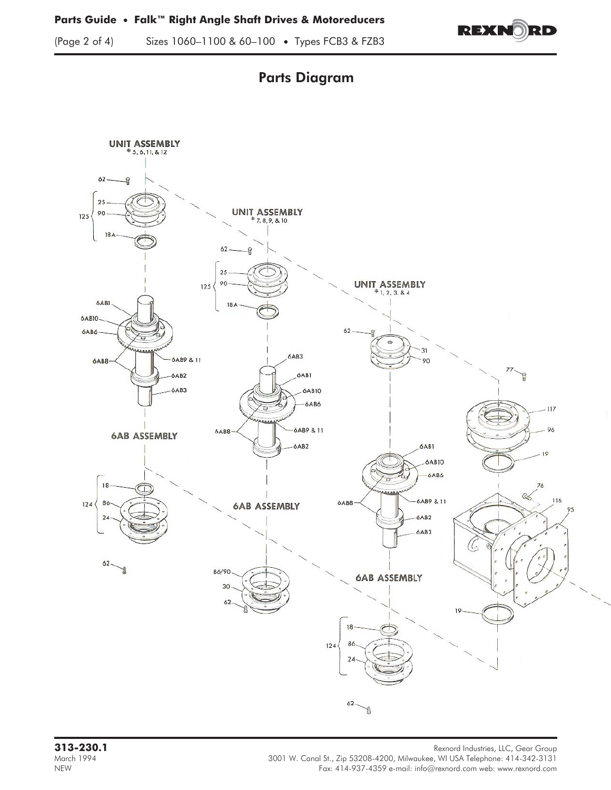

(Page 2 of 4) Sizes 1060–1100 & 60–100 • Types FCB3 & FZB3







Rexnord Industries, LLC, Gear Group<br>March 1994 March 1994 Rexnord Industries, LLC, Gear Group<br>March 1994 March 1994 March 1994 3001 W. Canal St., Zip 53208-4200, Milwaukee, WI USA Telephone: 414-342-3131<br>Tax: 414-937-4359 e-mail: info@rexnord.com web: www.rexnord.com Fax: 414-937-4359 e-mail: info@rexnord.com web: www.rexnord.com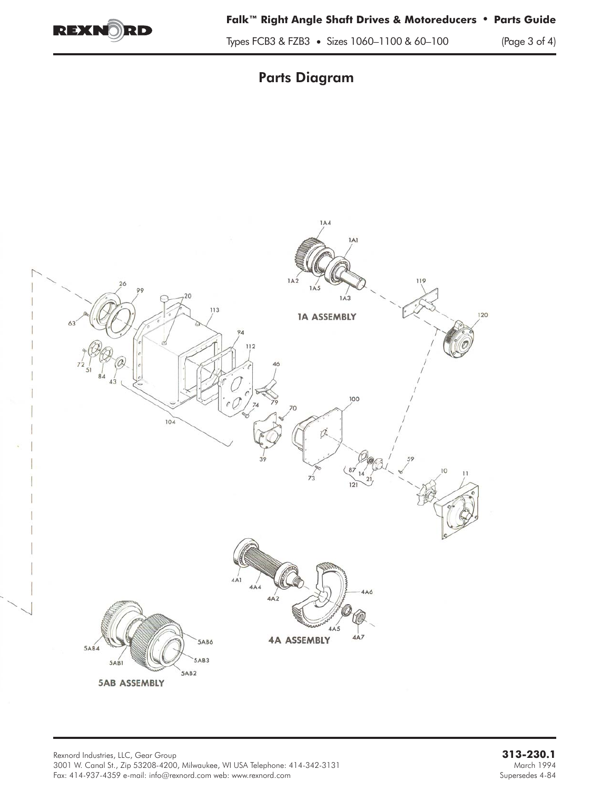

# Parts Diagram